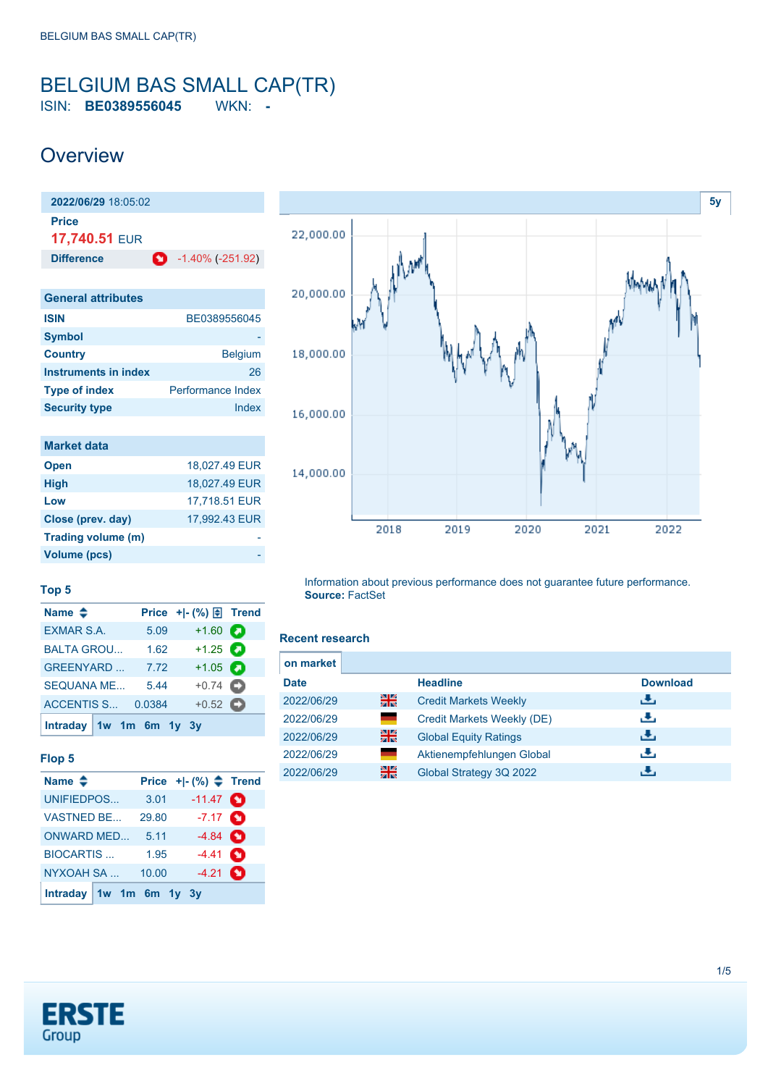### <span id="page-0-0"></span>BELGIUM BAS SMALL CAP(TR) ISIN: **BE0389556045** WKN: **-**

## **Overview**

**2022/06/29** 18:05:02 **Price 17,740.51** EUR **Difference** -1.40% (-251.92) **General attributes**

| OCHCLAI AUTINALCS    |                          |
|----------------------|--------------------------|
| <b>ISIN</b>          | BE0389556045             |
| <b>Symbol</b>        |                          |
| <b>Country</b>       | <b>Belgium</b>           |
| Instruments in index | 26                       |
| <b>Type of index</b> | <b>Performance Index</b> |
| <b>Security type</b> | Index                    |
|                      |                          |

| <b>Market data</b> |               |
|--------------------|---------------|
| <b>Open</b>        | 18.027.49 EUR |
| <b>High</b>        | 18,027.49 EUR |
| Low                | 17,718.51 EUR |
| Close (prev. day)  | 17.992.43 EUR |
| Trading volume (m) |               |
| Volume (pcs)       |               |



#### **Top 5**

| Name $\triangleq$       |        |                   |  |
|-------------------------|--------|-------------------|--|
| <b>EXMAR S.A.</b>       | 5.09   | $+1.60$ $\bullet$ |  |
| <b>BALTA GROU</b>       | 1.62   | $+1.25$ $\bullet$ |  |
| <b>GREENYARD</b>        | 7.72   | $+1.05$ $\bullet$ |  |
| <b>SEQUANA ME</b>       | 5.44   | $+0.74$ $\bullet$ |  |
| ACCENTIS S              | 0.0384 | $+0.52$ $\bullet$ |  |
| Intraday 1w 1m 6m 1y 3y |        |                   |  |

#### **Flop 5**

| Name $\triangle$          |       | Price $+[-(%) \triangleq$ Trend |  |
|---------------------------|-------|---------------------------------|--|
| UNIFIEDPOS                | 3.01  | $-11.47$ $\bullet$              |  |
| <b>VASTNED BE</b>         | 29.80 | $-7.17$ $\bullet$               |  |
| ONWARD MED                | 5.11  | $-4.84$ $\bullet$               |  |
| <b>BIOCARTIS</b>          | 1.95  | $-4.41$ $\bullet$               |  |
| NYXOAH SA                 | 10.00 | $-4.21$ $\bullet$               |  |
| Intraday $1w$ 1m 6m 1y 3y |       |                                 |  |

Information about previous performance does not guarantee future performance. **Source:** FactSet

#### **Recent research**

| on market   |    |                              |                 |
|-------------|----|------------------------------|-----------------|
| <b>Date</b> |    | <b>Headline</b>              | <b>Download</b> |
| 2022/06/29  | 을중 | <b>Credit Markets Weekly</b> | رنان            |
| 2022/06/29  |    | Credit Markets Weekly (DE)   | راق             |
| 2022/06/29  | 을  | <b>Global Equity Ratings</b> | رنان            |
| 2022/06/29  |    | Aktienempfehlungen Global    | رالى            |
| 2022/06/29  | 을중 | Global Strategy 3Q 2022      |                 |

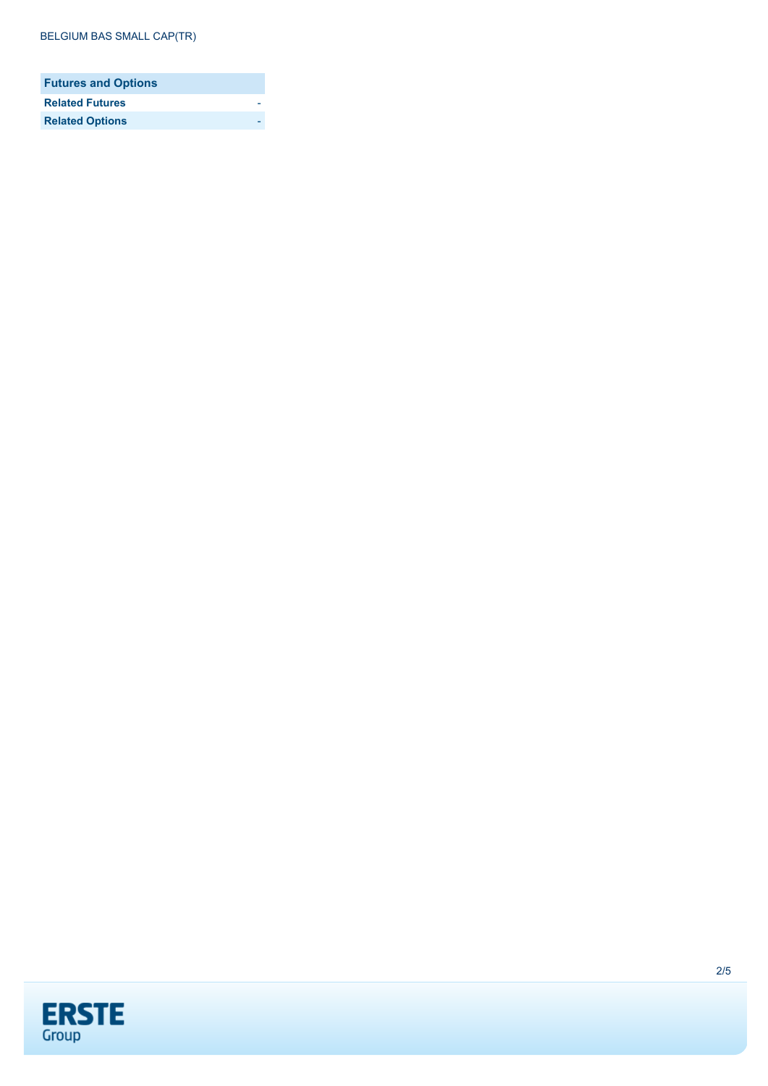| <b>Futures and Options</b> |  |
|----------------------------|--|
| <b>Related Futures</b>     |  |
| <b>Related Options</b>     |  |

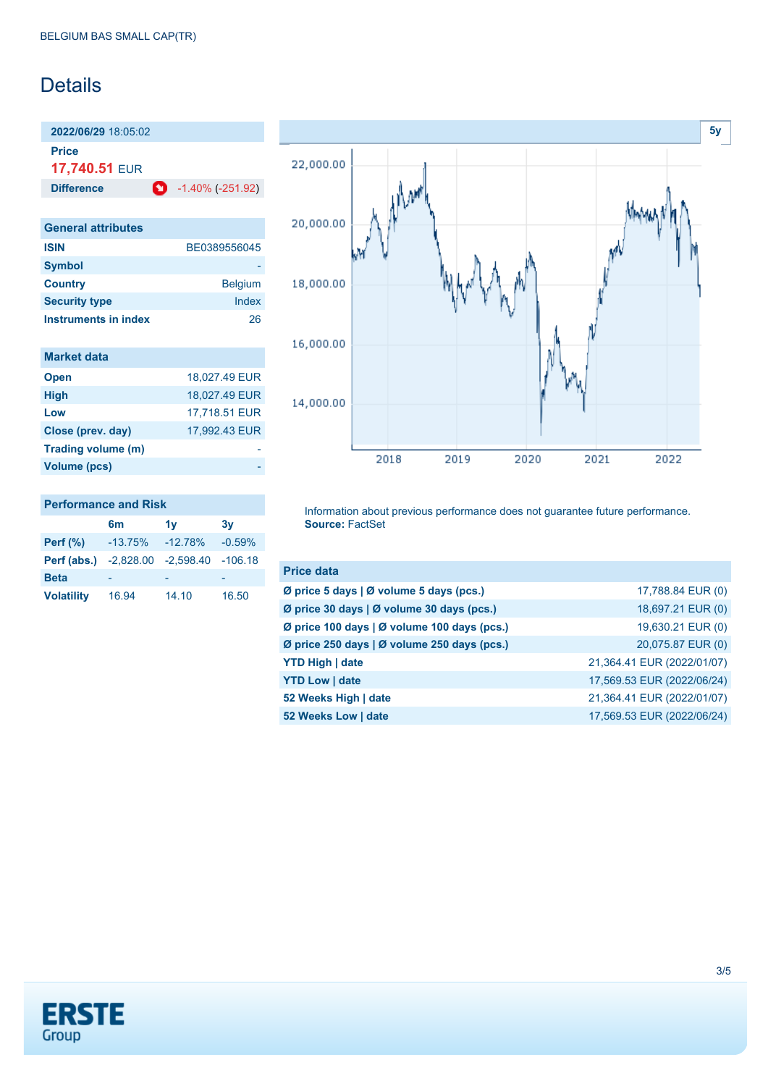## Details

**2022/06/29** 18:05:02

**Price**

**17,740.51** EUR

**Difference** -1.40% (-251.92)

| <b>General attributes</b> |                |
|---------------------------|----------------|
| <b>ISIN</b>               | BE0389556045   |
| <b>Symbol</b>             |                |
| <b>Country</b>            | <b>Belgium</b> |
| <b>Security type</b>      | Index          |
| Instruments in index      | 26             |

| <b>Market data</b> |  |
|--------------------|--|
|                    |  |

| <b>Open</b>        | 18,027.49 EUR |
|--------------------|---------------|
| <b>High</b>        | 18,027.49 EUR |
| Low                | 17,718.51 EUR |
| Close (prev. day)  | 17,992.43 EUR |
| Trading volume (m) |               |
| Volume (pcs)       |               |
|                    |               |

| <b>Performance and Risk</b> |                                                 |    |    |
|-----------------------------|-------------------------------------------------|----|----|
|                             | 6m                                              | 1v | 3v |
|                             | <b>Perf (%)</b> $-13.75\%$ $-12.78\%$ $-0.59\%$ |    |    |
|                             | .                                               |    |    |

| 16.94 | 14.10 | 16.50                                                                    |
|-------|-------|--------------------------------------------------------------------------|
|       |       | $-13.75\% - 12.78\% - 0.59\%$<br>Perf (abs.) -2,828.00 -2,598.40 -106.18 |



Information about previous performance does not guarantee future performance. **Source:** FactSet

| <b>Price data</b>                           |                            |
|---------------------------------------------|----------------------------|
| Ø price 5 days   Ø volume 5 days (pcs.)     | 17,788.84 EUR (0)          |
| Ø price 30 days   Ø volume 30 days (pcs.)   | 18,697.21 EUR (0)          |
| Ø price 100 days   Ø volume 100 days (pcs.) | 19,630.21 EUR (0)          |
| Ø price 250 days   Ø volume 250 days (pcs.) | 20,075.87 EUR (0)          |
| <b>YTD High   date</b>                      | 21,364.41 EUR (2022/01/07) |
| <b>YTD Low   date</b>                       | 17,569.53 EUR (2022/06/24) |
| 52 Weeks High   date                        | 21,364.41 EUR (2022/01/07) |
| 52 Weeks Low   date                         | 17,569.53 EUR (2022/06/24) |

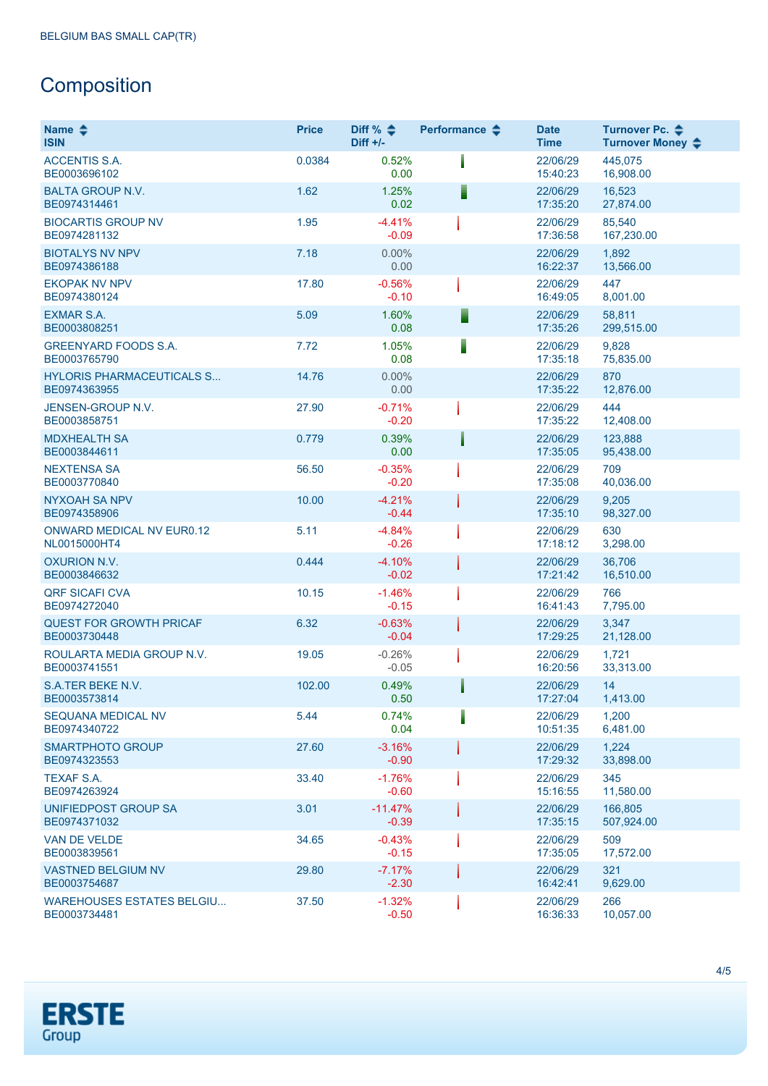# **Composition**

| Name $\clubsuit$<br><b>ISIN</b>                  | <b>Price</b> | Diff % $\triangleq$<br>$Diff +/-$ | Performance $\clubsuit$ | <b>Date</b><br><b>Time</b> | Turnover Pc. <b>←</b><br>Turnover Money ♦ |
|--------------------------------------------------|--------------|-----------------------------------|-------------------------|----------------------------|-------------------------------------------|
| <b>ACCENTIS S.A.</b><br>BE0003696102             | 0.0384       | 0.52%<br>0.00                     |                         | 22/06/29<br>15:40:23       | 445,075<br>16,908.00                      |
| <b>BALTA GROUP N.V.</b><br>BE0974314461          | 1.62         | 1.25%<br>0.02                     |                         | 22/06/29<br>17:35:20       | 16,523<br>27,874.00                       |
| <b>BIOCARTIS GROUP NV</b><br>BE0974281132        | 1.95         | $-4.41%$<br>$-0.09$               |                         | 22/06/29<br>17:36:58       | 85,540<br>167,230.00                      |
| <b>BIOTALYS NV NPV</b><br>BE0974386188           | 7.18         | 0.00%<br>0.00                     |                         | 22/06/29<br>16:22:37       | 1,892<br>13,566.00                        |
| <b>EKOPAK NV NPV</b><br>BE0974380124             | 17.80        | $-0.56%$<br>$-0.10$               |                         | 22/06/29<br>16:49:05       | 447<br>8,001.00                           |
| <b>EXMAR S.A.</b><br>BE0003808251                | 5.09         | 1.60%<br>0.08                     |                         | 22/06/29<br>17:35:26       | 58,811<br>299,515.00                      |
| <b>GREENYARD FOODS S.A.</b><br>BE0003765790      | 7.72         | 1.05%<br>0.08                     |                         | 22/06/29<br>17:35:18       | 9,828<br>75,835.00                        |
| <b>HYLORIS PHARMACEUTICALS S</b><br>BE0974363955 | 14.76        | 0.00%<br>0.00                     |                         | 22/06/29<br>17:35:22       | 870<br>12,876.00                          |
| JENSEN-GROUP N.V.<br>BE0003858751                | 27.90        | $-0.71%$<br>$-0.20$               |                         | 22/06/29<br>17:35:22       | 444<br>12,408.00                          |
| <b>MDXHEALTH SA</b><br>BE0003844611              | 0.779        | 0.39%<br>0.00                     |                         | 22/06/29<br>17:35:05       | 123,888<br>95,438.00                      |
| <b>NEXTENSA SA</b><br>BE0003770840               | 56.50        | $-0.35%$<br>$-0.20$               |                         | 22/06/29<br>17:35:08       | 709<br>40,036.00                          |
| <b>NYXOAH SA NPV</b><br>BE0974358906             | 10.00        | $-4.21%$<br>$-0.44$               |                         | 22/06/29<br>17:35:10       | 9,205<br>98,327.00                        |
| ONWARD MEDICAL NV EUR0.12<br>NL0015000HT4        | 5.11         | $-4.84%$<br>$-0.26$               |                         | 22/06/29<br>17:18:12       | 630<br>3,298.00                           |
| <b>OXURION N.V.</b><br>BE0003846632              | 0.444        | $-4.10%$<br>$-0.02$               |                         | 22/06/29<br>17:21:42       | 36,706<br>16,510.00                       |
| <b>QRF SICAFI CVA</b><br>BE0974272040            | 10.15        | $-1.46%$<br>$-0.15$               |                         | 22/06/29<br>16:41:43       | 766<br>7,795.00                           |
| <b>QUEST FOR GROWTH PRICAF</b><br>BE0003730448   | 6.32         | $-0.63%$<br>$-0.04$               |                         | 22/06/29<br>17:29:25       | 3,347<br>21,128.00                        |
| ROULARTA MEDIA GROUP N.V.<br>BE0003741551        | 19.05        | $-0.26%$<br>$-0.05$               |                         | 22/06/29<br>16:20:56       | 1,721<br>33,313.00                        |
| S.A.TER BEKE N.V.<br>BE0003573814                | 102.00       | 0.49%<br>0.50                     |                         | 22/06/29<br>17:27:04       | 14<br>1,413.00                            |
| <b>SEQUANA MEDICAL NV</b><br>BE0974340722        | 5.44         | 0.74%<br>0.04                     |                         | 22/06/29<br>10:51:35       | 1,200<br>6,481.00                         |
| SMARTPHOTO GROUP<br>BE0974323553                 | 27.60        | $-3.16%$<br>$-0.90$               |                         | 22/06/29<br>17:29:32       | 1,224<br>33,898.00                        |
| <b>TEXAF S.A.</b><br>BE0974263924                | 33.40        | $-1.76%$<br>$-0.60$               |                         | 22/06/29<br>15:16:55       | 345<br>11,580.00                          |
| UNIFIEDPOST GROUP SA<br>BE0974371032             | 3.01         | $-11.47%$<br>$-0.39$              |                         | 22/06/29<br>17:35:15       | 166.805<br>507,924.00                     |
| VAN DE VELDE<br>BE0003839561                     | 34.65        | $-0.43%$<br>$-0.15$               |                         | 22/06/29<br>17:35:05       | 509<br>17,572.00                          |
| <b>VASTNED BELGIUM NV</b><br>BE0003754687        | 29.80        | $-7.17%$<br>$-2.30$               |                         | 22/06/29<br>16:42:41       | 321<br>9,629.00                           |
| <b>WAREHOUSES ESTATES BELGIU</b><br>BE0003734481 | 37.50        | $-1.32%$<br>$-0.50$               |                         | 22/06/29<br>16:36:33       | 266<br>10,057.00                          |